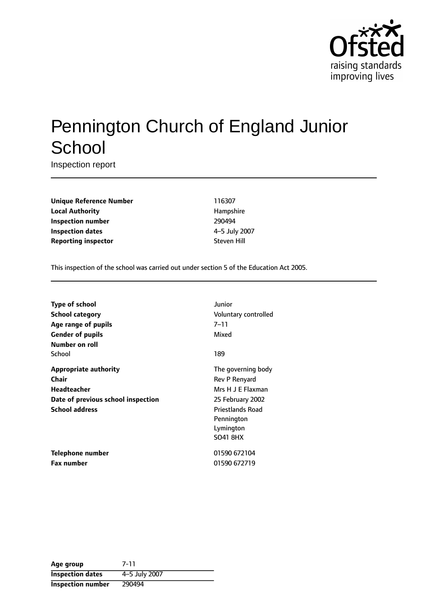

# Pennington Church of England Junior **School**

Inspection report

**Unique Reference Number** 116307 **Local Authority Hampshire Inspection number** 290494 **Inspection dates** 4-5 July 2007 **Reporting inspector** Steven Hill

This inspection of the school was carried out under section 5 of the Education Act 2005.

| Type of school                     | Junior                  |
|------------------------------------|-------------------------|
| <b>School category</b>             | Voluntary controlled    |
| Age range of pupils                | $7 - 11$                |
| <b>Gender of pupils</b>            | Mixed                   |
| Number on roll                     |                         |
| School                             | 189                     |
| <b>Appropriate authority</b>       | The governing body      |
| Chair                              | Rev P Renyard           |
| Headteacher                        | Mrs H J E Flaxman       |
| Date of previous school inspection | 25 February 2002        |
| <b>School address</b>              | <b>Priestlands Road</b> |
|                                    | Pennington              |
|                                    | Lymington               |
|                                    | <b>SO41 8HX</b>         |
| Telephone number                   | 01590 672104            |
| <b>Fax number</b>                  | 01590 672719            |

| Age group                | 7-11          |
|--------------------------|---------------|
| <b>Inspection dates</b>  | 4-5 July 2007 |
| <b>Inspection number</b> | 290494        |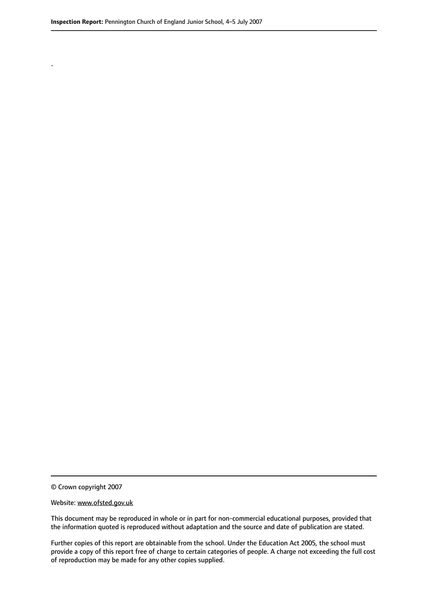.

© Crown copyright 2007

#### Website: www.ofsted.gov.uk

This document may be reproduced in whole or in part for non-commercial educational purposes, provided that the information quoted is reproduced without adaptation and the source and date of publication are stated.

Further copies of this report are obtainable from the school. Under the Education Act 2005, the school must provide a copy of this report free of charge to certain categories of people. A charge not exceeding the full cost of reproduction may be made for any other copies supplied.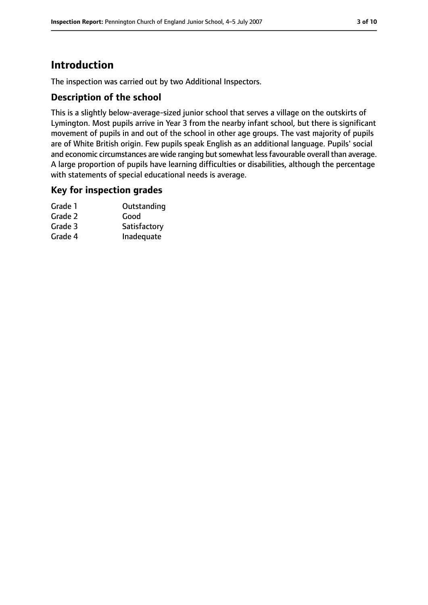# **Introduction**

The inspection was carried out by two Additional Inspectors.

## **Description of the school**

This is a slightly below-average-sized junior school that serves a village on the outskirts of Lymington. Most pupils arrive in Year 3 from the nearby infant school, but there is significant movement of pupils in and out of the school in other age groups. The vast majority of pupils are of White British origin. Few pupils speak English as an additional language. Pupils' social and economic circumstances are wide ranging but somewhat less favourable overall than average. A large proportion of pupils have learning difficulties or disabilities, although the percentage with statements of special educational needs is average.

#### **Key for inspection grades**

| Outstanding  |
|--------------|
| Good         |
| Satisfactory |
| Inadequate   |
|              |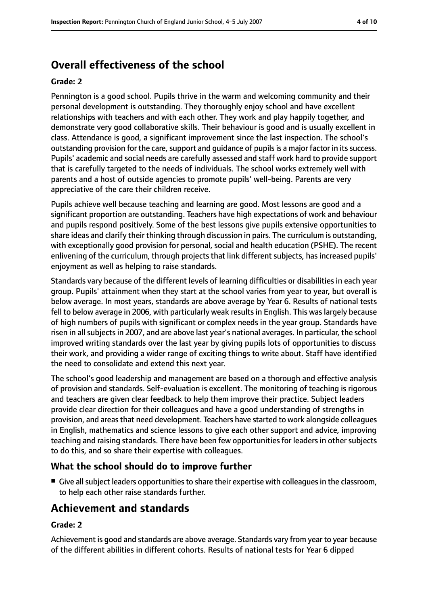# **Overall effectiveness of the school**

#### **Grade: 2**

Pennington is a good school. Pupils thrive in the warm and welcoming community and their personal development is outstanding. They thoroughly enjoy school and have excellent relationships with teachers and with each other. They work and play happily together, and demonstrate very good collaborative skills. Their behaviour is good and is usually excellent in class. Attendance is good, a significant improvement since the last inspection. The school's outstanding provision for the care, support and quidance of pupils is a major factor in its success. Pupils' academic and social needs are carefully assessed and staff work hard to provide support that is carefully targeted to the needs of individuals. The school works extremely well with parents and a host of outside agencies to promote pupils' well-being. Parents are very appreciative of the care their children receive.

Pupils achieve well because teaching and learning are good. Most lessons are good and a significant proportion are outstanding. Teachers have high expectations of work and behaviour and pupils respond positively. Some of the best lessons give pupils extensive opportunities to share ideas and clarify their thinking through discussion in pairs. The curriculum is outstanding, with exceptionally good provision for personal, social and health education (PSHE). The recent enlivening of the curriculum, through projects that link different subjects, has increased pupils' enjoyment as well as helping to raise standards.

Standards vary because of the different levels of learning difficulties or disabilities in each year group. Pupils' attainment when they start at the school varies from year to year, but overall is below average. In most years, standards are above average by Year 6. Results of national tests fell to below average in 2006, with particularly weak results in English. This was largely because of high numbers of pupils with significant or complex needs in the year group. Standards have risen in all subjects in 2007, and are above last year's national averages. In particular, the school improved writing standards over the last year by giving pupils lots of opportunities to discuss their work, and providing a wider range of exciting things to write about. Staff have identified the need to consolidate and extend this next year.

The school's good leadership and management are based on a thorough and effective analysis of provision and standards. Self-evaluation is excellent. The monitoring of teaching is rigorous and teachers are given clear feedback to help them improve their practice. Subject leaders provide clear direction for their colleagues and have a good understanding of strengths in provision, and areas that need development. Teachers have started to work alongside colleagues in English, mathematics and science lessons to give each other support and advice, improving teaching and raising standards. There have been few opportunities for leaders in other subjects to do this, and so share their expertise with colleagues.

#### **What the school should do to improve further**

■ Give all subject leaders opportunities to share their expertise with colleagues in the classroom, to help each other raise standards further.

# **Achievement and standards**

#### **Grade: 2**

Achievement is good and standards are above average. Standards vary from year to year because of the different abilities in different cohorts. Results of national tests for Year 6 dipped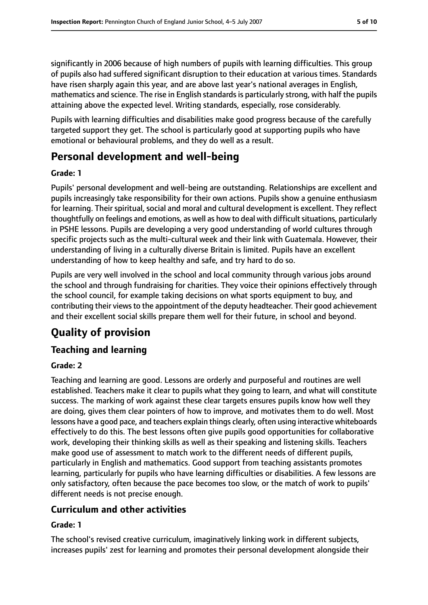significantly in 2006 because of high numbers of pupils with learning difficulties. This group of pupils also had suffered significant disruption to their education at various times. Standards have risen sharply again this year, and are above last year's national averages in English, mathematics and science. The rise in English standards is particularly strong, with half the pupils attaining above the expected level. Writing standards, especially, rose considerably.

Pupils with learning difficulties and disabilities make good progress because of the carefully targeted support they get. The school is particularly good at supporting pupils who have emotional or behavioural problems, and they do well as a result.

# **Personal development and well-being**

#### **Grade: 1**

Pupils' personal development and well-being are outstanding. Relationships are excellent and pupils increasingly take responsibility for their own actions. Pupils show a genuine enthusiasm for learning. Their spiritual, social and moral and cultural development is excellent. They reflect thoughtfully on feelings and emotions, as well as how to deal with difficult situations, particularly in PSHE lessons. Pupils are developing a very good understanding of world cultures through specific projects such as the multi-cultural week and their link with Guatemala. However, their understanding of living in a culturally diverse Britain is limited. Pupils have an excellent understanding of how to keep healthy and safe, and try hard to do so.

Pupils are very well involved in the school and local community through various jobs around the school and through fundraising for charities. They voice their opinions effectively through the school council, for example taking decisions on what sports equipment to buy, and contributing their views to the appointment of the deputy headteacher. Their good achievement and their excellent social skills prepare them well for their future, in school and beyond.

# **Quality of provision**

## **Teaching and learning**

## **Grade: 2**

Teaching and learning are good. Lessons are orderly and purposeful and routines are well established. Teachers make it clear to pupils what they going to learn, and what will constitute success. The marking of work against these clear targets ensures pupils know how well they are doing, gives them clear pointers of how to improve, and motivates them to do well. Most lessons have a good pace, and teachers explain things clearly, often using interactive whiteboards effectively to do this. The best lessons often give pupils good opportunities for collaborative work, developing their thinking skills as well as their speaking and listening skills. Teachers make good use of assessment to match work to the different needs of different pupils, particularly in English and mathematics. Good support from teaching assistants promotes learning, particularly for pupils who have learning difficulties or disabilities. A few lessons are only satisfactory, often because the pace becomes too slow, or the match of work to pupils' different needs is not precise enough.

## **Curriculum and other activities**

#### **Grade: 1**

The school's revised creative curriculum, imaginatively linking work in different subjects, increases pupils' zest for learning and promotes their personal development alongside their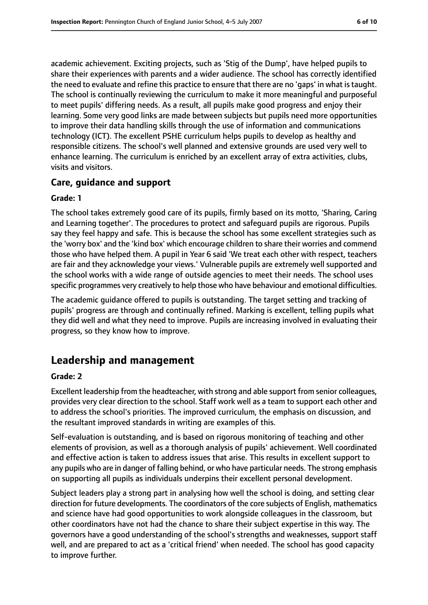academic achievement. Exciting projects, such as 'Stig of the Dump', have helped pupils to share their experiences with parents and a wider audience. The school has correctly identified the need to evaluate and refine this practice to ensure that there are no 'gaps' in what istaught. The school is continually reviewing the curriculum to make it more meaningful and purposeful to meet pupils' differing needs. As a result, all pupils make good progress and enjoy their learning. Some very good links are made between subjects but pupils need more opportunities to improve their data handling skills through the use of information and communications technology (ICT). The excellent PSHE curriculum helps pupils to develop as healthy and responsible citizens. The school's well planned and extensive grounds are used very well to enhance learning. The curriculum is enriched by an excellent array of extra activities, clubs, visits and visitors.

#### **Care, guidance and support**

#### **Grade: 1**

The school takes extremely good care of its pupils, firmly based on its motto, 'Sharing, Caring and Learning together'. The procedures to protect and safeguard pupils are rigorous. Pupils say they feel happy and safe. This is because the school has some excellent strategies such as the 'worry box' and the 'kind box' which encourage children to share their worries and commend those who have helped them. A pupil in Year 6 said 'We treat each other with respect, teachers are fair and they acknowledge your views.' Vulnerable pupils are extremely well supported and the school works with a wide range of outside agencies to meet their needs. The school uses specific programmes very creatively to help those who have behaviour and emotional difficulties.

The academic guidance offered to pupils is outstanding. The target setting and tracking of pupils' progress are through and continually refined. Marking is excellent, telling pupils what they did well and what they need to improve. Pupils are increasing involved in evaluating their progress, so they know how to improve.

## **Leadership and management**

#### **Grade: 2**

Excellent leadership from the headteacher, with strong and able support from senior colleagues, provides very clear direction to the school. Staff work well as a team to support each other and to address the school's priorities. The improved curriculum, the emphasis on discussion, and the resultant improved standards in writing are examples of this.

Self-evaluation is outstanding, and is based on rigorous monitoring of teaching and other elements of provision, as well as a thorough analysis of pupils' achievement. Well coordinated and effective action is taken to address issues that arise. This results in excellent support to any pupils who are in danger of falling behind, or who have particular needs. The strong emphasis on supporting all pupils as individuals underpins their excellent personal development.

Subject leaders play a strong part in analysing how well the school is doing, and setting clear direction for future developments. The coordinators of the core subjects of English, mathematics and science have had good opportunities to work alongside colleagues in the classroom, but other coordinators have not had the chance to share their subject expertise in this way. The governors have a good understanding of the school's strengths and weaknesses, support staff well, and are prepared to act as a 'critical friend' when needed. The school has good capacity to improve further.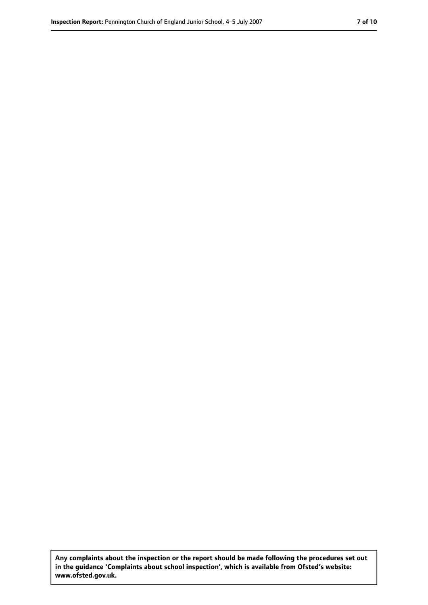**Any complaints about the inspection or the report should be made following the procedures set out in the guidance 'Complaints about school inspection', which is available from Ofsted's website: www.ofsted.gov.uk.**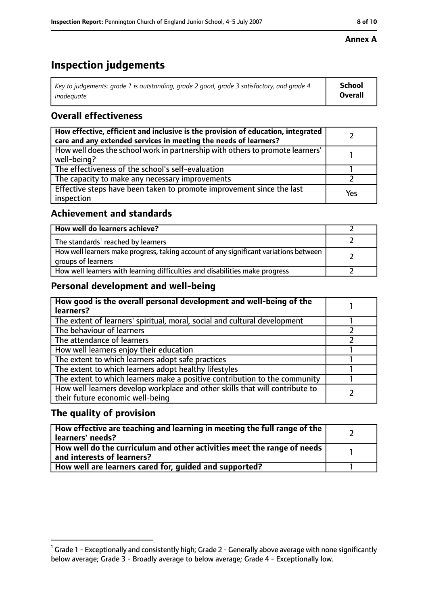#### **Annex A**

# **Inspection judgements**

| Key to judgements: grade 1 is outstanding, grade 2 good, grade 3 satisfactory, and grade 4 | School  |
|--------------------------------------------------------------------------------------------|---------|
| inadequate                                                                                 | Overall |

## **Overall effectiveness**

| How effective, efficient and inclusive is the provision of education, integrated<br>care and any extended services in meeting the needs of learners? |     |
|------------------------------------------------------------------------------------------------------------------------------------------------------|-----|
| How well does the school work in partnership with others to promote learners'<br>well-being?                                                         |     |
| The effectiveness of the school's self-evaluation                                                                                                    |     |
| The capacity to make any necessary improvements                                                                                                      |     |
| Effective steps have been taken to promote improvement since the last<br>inspection                                                                  | Yes |

#### **Achievement and standards**

| How well do learners achieve?                                                                               |  |
|-------------------------------------------------------------------------------------------------------------|--|
| The standards <sup>1</sup> reached by learners                                                              |  |
| How well learners make progress, taking account of any significant variations between<br>groups of learners |  |
| How well learners with learning difficulties and disabilities make progress                                 |  |

## **Personal development and well-being**

| How good is the overall personal development and well-being of the<br>learners?                                  |  |
|------------------------------------------------------------------------------------------------------------------|--|
| The extent of learners' spiritual, moral, social and cultural development                                        |  |
| The behaviour of learners                                                                                        |  |
| The attendance of learners                                                                                       |  |
| How well learners enjoy their education                                                                          |  |
| The extent to which learners adopt safe practices                                                                |  |
| The extent to which learners adopt healthy lifestyles                                                            |  |
| The extent to which learners make a positive contribution to the community                                       |  |
| How well learners develop workplace and other skills that will contribute to<br>their future economic well-being |  |

#### **The quality of provision**

| How effective are teaching and learning in meeting the full range of the<br>learners' needs?                        |  |
|---------------------------------------------------------------------------------------------------------------------|--|
| $\mid$ How well do the curriculum and other activities meet the range of needs $\mid$<br>and interests of learners? |  |
| How well are learners cared for, quided and supported?                                                              |  |

 $^1$  Grade 1 - Exceptionally and consistently high; Grade 2 - Generally above average with none significantly below average; Grade 3 - Broadly average to below average; Grade 4 - Exceptionally low.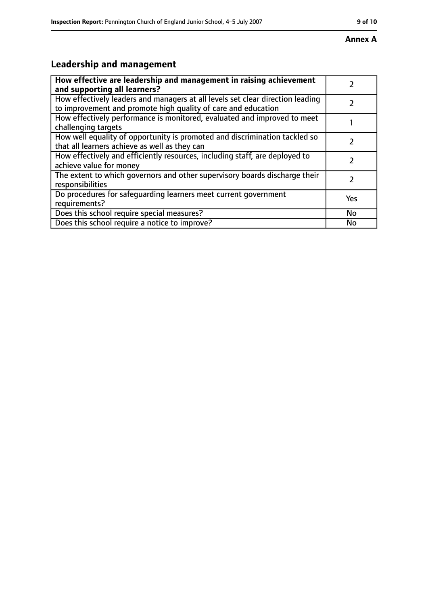#### **Annex A**

# **Leadership and management**

| How effective are leadership and management in raising achievement<br>and supporting all learners?                                              |     |
|-------------------------------------------------------------------------------------------------------------------------------------------------|-----|
| How effectively leaders and managers at all levels set clear direction leading<br>to improvement and promote high quality of care and education |     |
| How effectively performance is monitored, evaluated and improved to meet<br>challenging targets                                                 |     |
| How well equality of opportunity is promoted and discrimination tackled so<br>that all learners achieve as well as they can                     |     |
| How effectively and efficiently resources, including staff, are deployed to<br>achieve value for money                                          |     |
| The extent to which governors and other supervisory boards discharge their<br>responsibilities                                                  | 7   |
| Do procedures for safequarding learners meet current government<br>requirements?                                                                | Yes |
| Does this school require special measures?                                                                                                      | No  |
| Does this school require a notice to improve?                                                                                                   | No  |